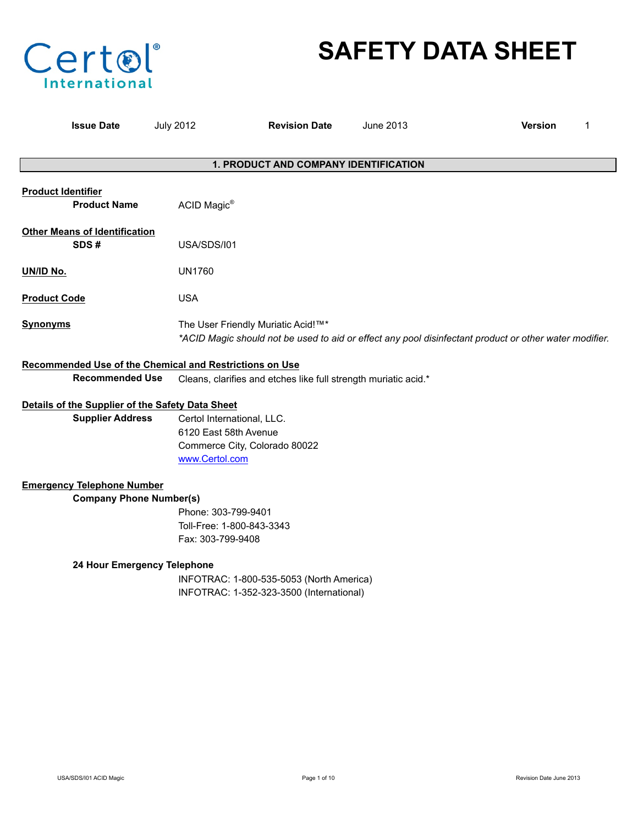

# **SAFETY DATA SHEET**

| <b>Issue Date</b>                                                                 | <b>July 2012</b>                                                      | <b>Revision Date</b>                                                                 | June 2013 | <b>Version</b><br>1                                                                                    |
|-----------------------------------------------------------------------------------|-----------------------------------------------------------------------|--------------------------------------------------------------------------------------|-----------|--------------------------------------------------------------------------------------------------------|
|                                                                                   |                                                                       | 1. PRODUCT AND COMPANY IDENTIFICATION                                                |           |                                                                                                        |
| <b>Product Identifier</b><br><b>Product Name</b>                                  | ACID Magic®                                                           |                                                                                      |           |                                                                                                        |
| <b>Other Means of Identification</b><br>SDS#                                      | USA/SDS/I01                                                           |                                                                                      |           |                                                                                                        |
| UN/ID No.                                                                         | <b>UN1760</b>                                                         |                                                                                      |           |                                                                                                        |
| <b>Product Code</b>                                                               | <b>USA</b>                                                            |                                                                                      |           |                                                                                                        |
| <b>Synonyms</b>                                                                   |                                                                       | The User Friendly Muriatic Acid!™*                                                   |           | *ACID Magic should not be used to aid or effect any pool disinfectant product or other water modifier. |
| Recommended Use of the Chemical and Restrictions on Use<br><b>Recommended Use</b> |                                                                       | Cleans, clarifies and etches like full strength muriatic acid.*                      |           |                                                                                                        |
| Details of the Supplier of the Safety Data Sheet                                  |                                                                       |                                                                                      |           |                                                                                                        |
| <b>Supplier Address</b>                                                           | Certol International, LLC.<br>6120 East 58th Avenue<br>www.Certol.com | Commerce City, Colorado 80022                                                        |           |                                                                                                        |
| <b>Emergency Telephone Number</b>                                                 |                                                                       |                                                                                      |           |                                                                                                        |
| <b>Company Phone Number(s)</b><br>24 Hour Emergency Telephone                     | Phone: 303-799-9401<br>Toll-Free: 1-800-843-3343<br>Fax: 303-799-9408 | INFOTRAC: 1-800-535-5053 (North America)<br>INFOTRAC: 1-352-323-3500 (International) |           |                                                                                                        |
|                                                                                   |                                                                       |                                                                                      |           |                                                                                                        |
|                                                                                   |                                                                       |                                                                                      |           |                                                                                                        |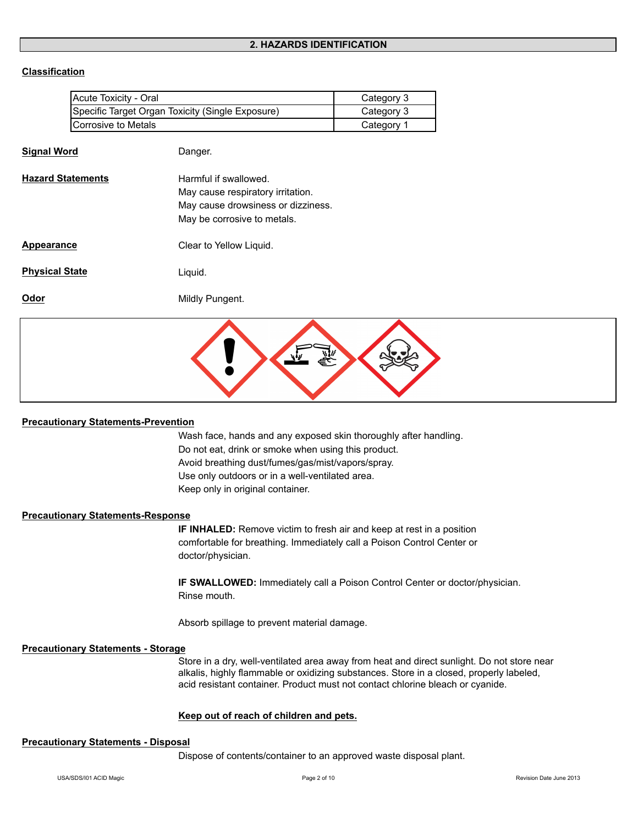# **Classification**

| Acute Toxicity - Oral                            | Category 3 |
|--------------------------------------------------|------------|
| Specific Target Organ Toxicity (Single Exposure) | Category 3 |
| Corrosive to Metals                              | Category 1 |

| <b>Signal Word</b>       | Danger.                                                                                                                         |
|--------------------------|---------------------------------------------------------------------------------------------------------------------------------|
| <b>Hazard Statements</b> | Harmful if swallowed.<br>May cause respiratory irritation.<br>May cause drowsiness or dizziness.<br>May be corrosive to metals. |
| Appearance               | Clear to Yellow Liquid.                                                                                                         |
| <b>Physical State</b>    | Liquid.                                                                                                                         |
| Odor                     | Mildly Pungent.                                                                                                                 |
|                          |                                                                                                                                 |



#### **Precautionary Statements-Prevention**

Wash face, hands and any exposed skin thoroughly after handling. Do not eat, drink or smoke when using this product. Avoid breathing dust/fumes/gas/mist/vapors/spray. Use only outdoors or in a well-ventilated area. Keep only in original container.

# **Precautionary Statements-Response**

**IF INHALED:** Remove victim to fresh air and keep at rest in a position comfortable for breathing. Immediately call a Poison Control Center or doctor/physician.

**IF SWALLOWED:** Immediately call a Poison Control Center or doctor/physician. Rinse mouth.

Absorb spillage to prevent material damage.

#### **Precautionary Statements - Storage**

Store in a dry, well-ventilated area away from heat and direct sunlight. Do not store near alkalis, highly flammable or oxidizing substances. Store in a closed, properly labeled, acid resistant container. Product must not contact chlorine bleach or cyanide.

# **Keep out of reach of children and pets.**

#### **Precautionary Statements - Disposal**

Dispose of contents/container to an approved waste disposal plant.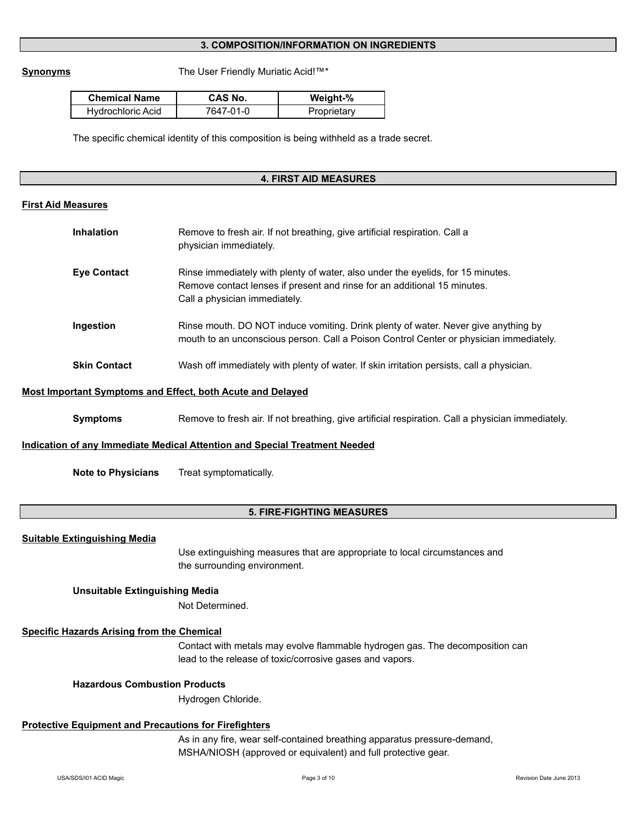# **3. COMPOSITION/INFORMATION ON INGREDIENTS**

**Synonyms** The User Friendly Muriatic Acid!™\*

| <b>Chemical Name</b> | CAS No.   | Weight-%    |
|----------------------|-----------|-------------|
| Hydrochloric Acid    | 7647-01-0 | Proprietary |

The specific chemical identity of this composition is being withheld as a trade secret.

#### **4. FIRST AID MEASURES**

#### **First Aid Measures**

| Inhalation          | Remove to fresh air. If not breathing, give artificial respiration. Call a<br>physician immediately.                                                                                         |
|---------------------|----------------------------------------------------------------------------------------------------------------------------------------------------------------------------------------------|
| <b>Eye Contact</b>  | Rinse immediately with plenty of water, also under the eyelids, for 15 minutes.<br>Remove contact lenses if present and rinse for an additional 15 minutes.<br>Call a physician immediately. |
| Ingestion           | Rinse mouth. DO NOT induce vomiting. Drink plenty of water. Never give anything by<br>mouth to an unconscious person. Call a Poison Control Center or physician immediately.                 |
| <b>Skin Contact</b> | Wash off immediately with plenty of water. If skin irritation persists, call a physician.                                                                                                    |

#### **Most Important Symptoms and Effect, both Acute and Delayed**

**Symptoms** Remove to fresh air. If not breathing, give artificial respiration. Call a physician immediately.

#### **Indication of any Immediate Medical Attention and Special Treatment Needed**

**Note to Physicians** Treat symptomatically.

# **5. FIRE-FIGHTING MEASURES**

# **Suitable Extinguishing Media**

Use extinguishing measures that are appropriate to local circumstances and the surrounding environment.

#### **Unsuitable Extinguishing Media**

Not Determined.

# **Specific Hazards Arising from the Chemical**

Contact with metals may evolve flammable hydrogen gas. The decomposition can lead to the release of toxic/corrosive gases and vapors.

# **Hazardous Combustion Products**

Hydrogen Chloride.

# **Protective Equipment and Precautions for Firefighters**

As in any fire, wear self-contained breathing apparatus pressure-demand, MSHA/NIOSH (approved or equivalent) and full protective gear.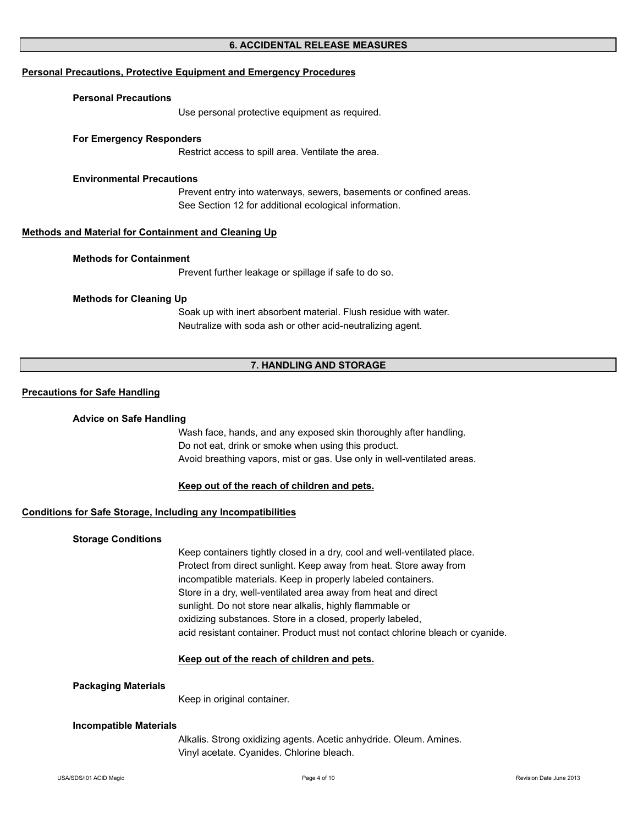# **6. ACCIDENTAL RELEASE MEASURES**

#### **Personal Precautions, Protective Equipment and Emergency Procedures**

#### **Personal Precautions**

Use personal protective equipment as required.

#### **For Emergency Responders**

Restrict access to spill area. Ventilate the area.

#### **Environmental Precautions**

Prevent entry into waterways, sewers, basements or confined areas. See Section 12 for additional ecological information.

#### **Methods and Material for Containment and Cleaning Up**

#### **Methods for Containment**

Prevent further leakage or spillage if safe to do so.

#### **Methods for Cleaning Up**

Soak up with inert absorbent material. Flush residue with water. Neutralize with soda ash or other acid-neutralizing agent.

# **7. HANDLING AND STORAGE**

#### **Precautions for Safe Handling**

#### **Advice on Safe Handling**

Do not eat, drink or smoke when using this product. Avoid breathing vapors, mist or gas. Use only in well-ventilated areas. Wash face, hands, and any exposed skin thoroughly after handling.

#### **Keep out of the reach of children and pets.**

# **Conditions for Safe Storage, Including any Incompatibilities**

#### **Storage Conditions**

Keep containers tightly closed in a dry, cool and well-ventilated place. Protect from direct sunlight. Keep away from heat. Store away from incompatible materials. Keep in properly labeled containers. Store in a dry, well-ventilated area away from heat and direct sunlight. Do not store near alkalis, highly flammable or oxidizing substances. Store in a closed, properly labeled, acid resistant container. Product must not contact chlorine bleach or cyanide.

#### **Keep out of the reach of children and pets.**

#### **Packaging Materials**

Keep in original container.

#### **Incompatible Materials**

Alkalis. Strong oxidizing agents. Acetic anhydride. Oleum. Amines. Vinyl acetate. Cyanides. Chlorine bleach.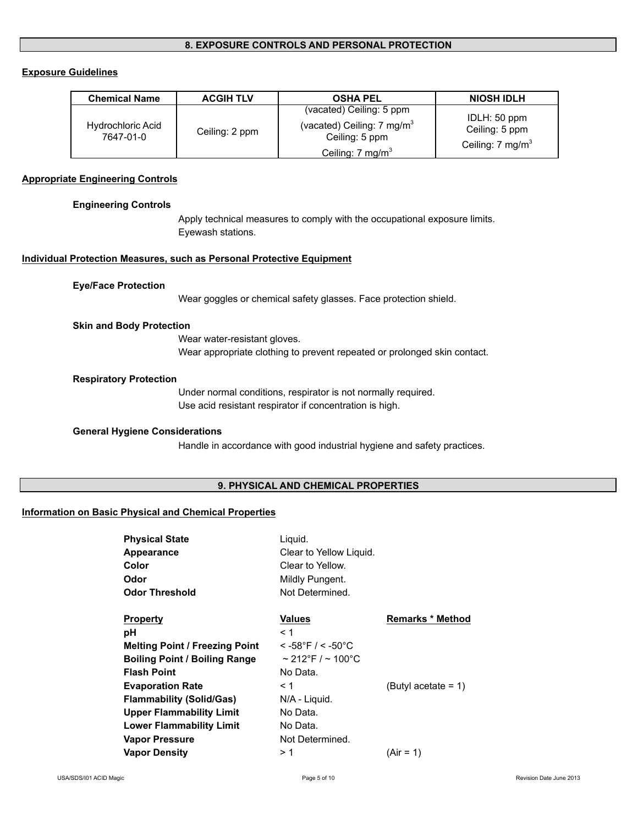# **8. EXPOSURE CONTROLS AND PERSONAL PROTECTION**

# **Exposure Guidelines**

| <b>Chemical Name</b>                  | <b>ACGIH TLV</b> | <b>OSHA PEL</b>                                                                                                    | <b>NIOSH IDLH</b>                                             |
|---------------------------------------|------------------|--------------------------------------------------------------------------------------------------------------------|---------------------------------------------------------------|
| <b>Hydrochloric Acid</b><br>7647-01-0 | Ceiling: 2 ppm   | (vacated) Ceiling: 5 ppm<br>(vacated) Ceiling: $7 \text{ mg/m}^3$<br>Ceiling: 5 ppm<br>Ceiling: $7 \text{ mg/m}^3$ | IDLH: 50 ppm<br>Ceiling: 5 ppm<br>Ceiling: $7 \text{ mg/m}^3$ |

#### **Appropriate Engineering Controls**

**Engineering Controls**

Apply technical measures to comply with the occupational exposure limits. Eyewash stations.

### **Individual Protection Measures, such as Personal Protective Equipment**

#### **Eye/Face Protection**

Wear goggles or chemical safety glasses. Face protection shield.

#### **Skin and Body Protection**

Wear water-resistant gloves. Wear appropriate clothing to prevent repeated or prolonged skin contact.

#### **Respiratory Protection**

Under normal conditions, respirator is not normally required. Use acid resistant respirator if concentration is high.

# **General Hygiene Considerations**

Handle in accordance with good industrial hygiene and safety practices.

# **9. PHYSICAL AND CHEMICAL PROPERTIES**

#### **Information on Basic Physical and Chemical Properties**

| <b>Physical State</b>                 | Liguid.                     |                         |
|---------------------------------------|-----------------------------|-------------------------|
| Appearance                            | Clear to Yellow Liquid.     |                         |
| Color                                 | Clear to Yellow.            |                         |
| Odor                                  | Mildly Pungent.             |                         |
| <b>Odor Threshold</b>                 | Not Determined.             |                         |
| <b>Property</b>                       | Values                      | <b>Remarks * Method</b> |
| рH                                    | < 1                         |                         |
| <b>Melting Point / Freezing Point</b> | $<$ -58°F / $<$ -50°C       |                         |
| <b>Boiling Point / Boiling Range</b>  | $\sim$ 212°F / $\sim$ 100°C |                         |
| <b>Flash Point</b>                    | No Data.                    |                         |
| <b>Evaporation Rate</b>               | $\leq 1$                    | (Butyl acetate = 1)     |
| <b>Flammability (Solid/Gas)</b>       | N/A - Liquid.               |                         |
| <b>Upper Flammability Limit</b>       | No Data.                    |                         |
| <b>Lower Flammability Limit</b>       | No Data.                    |                         |
| <b>Vapor Pressure</b>                 | Not Determined.             |                         |
| <b>Vapor Density</b>                  | > 1                         | $(Air = 1)$             |
|                                       |                             |                         |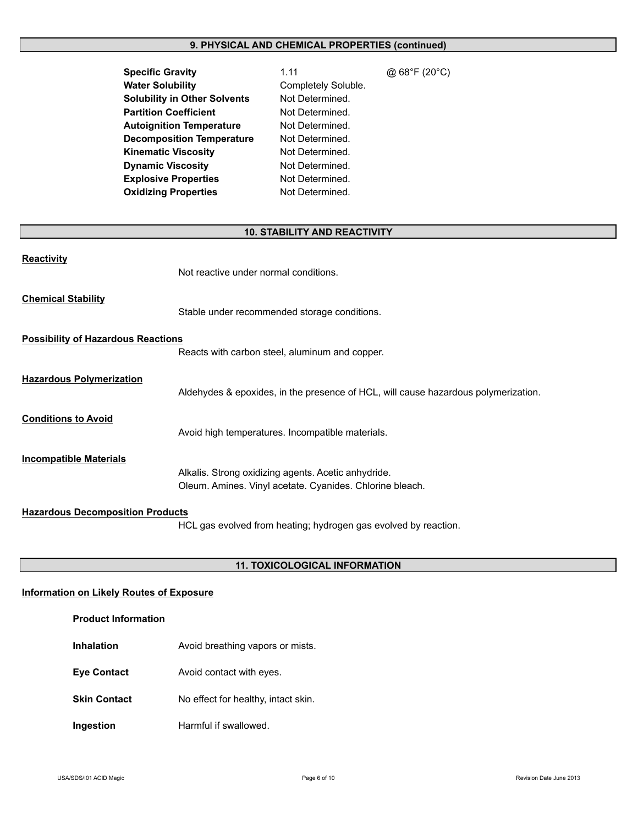# **9. PHYSICAL AND CHEMICAL PROPERTIES (continued)**

| <b>Specific Gravity</b>             |
|-------------------------------------|
| <b>Water Solubility</b>             |
| <b>Solubility in Other Solvents</b> |
| <b>Partition Coefficient</b>        |
| <b>Autoignition Temperature</b>     |
| <b>Decomposition Temperature</b>    |
| <b>Kinematic Viscosity</b>          |
| <b>Dynamic Viscosity</b>            |
| <b>Explosive Properties</b>         |
| <b>Oxidizing Properties</b>         |

**Specific Gravity** 1.11 @ 68°F (20°C) Completely Soluble. **Not Determined. Not Determined. Not Determined. Not Determined. Not Determined. Not Determined. Not Determined. Not Determined.** 

# **10. STABILITY AND REACTIVITY**

| <b>Reactivity</b>                         | Not reactive under normal conditions.                                                                           |
|-------------------------------------------|-----------------------------------------------------------------------------------------------------------------|
| <b>Chemical Stability</b>                 | Stable under recommended storage conditions.                                                                    |
| <b>Possibility of Hazardous Reactions</b> | Reacts with carbon steel, aluminum and copper.                                                                  |
| <b>Hazardous Polymerization</b>           | Aldehydes & epoxides, in the presence of HCL, will cause hazardous polymerization.                              |
| <b>Conditions to Avoid</b>                | Avoid high temperatures. Incompatible materials.                                                                |
| <b>Incompatible Materials</b>             | Alkalis. Strong oxidizing agents. Acetic anhydride.<br>Oleum. Amines. Vinyl acetate. Cyanides. Chlorine bleach. |
| <b>Hazardous Decomposition Products</b>   | HCL gas evolved from heating; hydrogen gas evolved by reaction.                                                 |

# **11. TOXICOLOGICAL INFORMATION**

# **Information on Likely Routes of Exposure**

| <b>Product Information</b> |  |  |
|----------------------------|--|--|
|----------------------------|--|--|

**Inhalation Avoid breathing vapors or mists. Eye Contact** Avoid contact with eyes. **Skin Contact** No effect for healthy, intact skin. **Ingestion** Harmful if swallowed.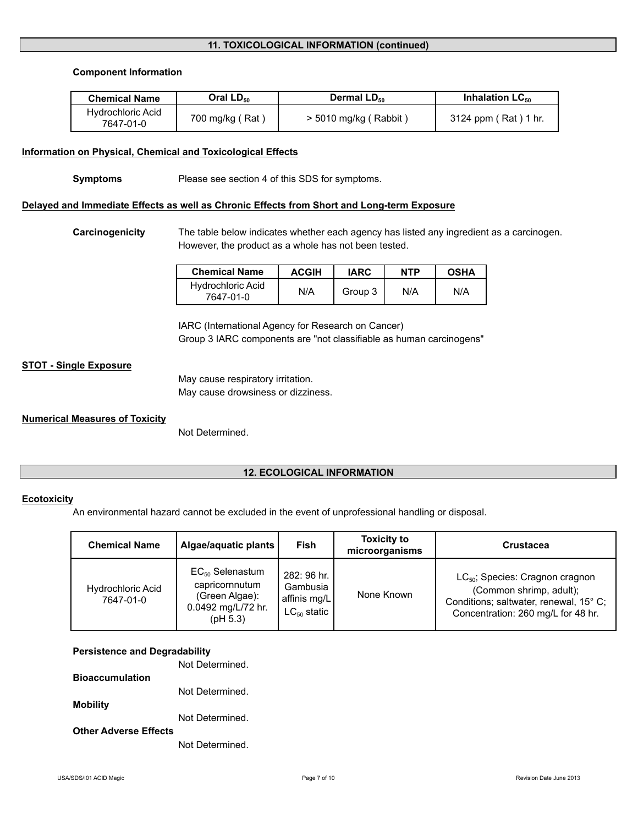# **11. TOXICOLOGICAL INFORMATION (continued)**

#### **Component Information**

| <b>Chemical Name</b>           | Oral $LD_{50}$  | Dermal LD <sub>50</sub> | Inhalation $LC_{50}$ |
|--------------------------------|-----------------|-------------------------|----------------------|
| Hydrochloric Acid<br>7647-01-0 | 700 mg/kg (Rat) | $>$ 5010 mg/kg (Rabbit) | 3124 ppm (Rat) 1 hr. |

#### **Information on Physical, Chemical and Toxicological Effects**

**Symptoms** Please see section 4 of this SDS for symptoms.

# **Delayed and Immediate Effects as well as Chronic Effects from Short and Long-term Exposure**

**Carcinogenicity** The table below indicates whether each agency has listed any ingredient as a carcinogen. However, the product as a whole has not been tested.

| <b>Chemical Name</b>                  | <b>ACGIH</b> | <b>IARC</b> | <b>NTP</b> | <b>OSHA</b> |
|---------------------------------------|--------------|-------------|------------|-------------|
| <b>Hydrochloric Acid</b><br>7647-01-0 | N/A          | Group 3     | N/A        | N/A         |

IARC (International Agency for Research on Cancer) Group 3 IARC components are "not classifiable as human carcinogens"

# **STOT - Single Exposure**

May cause respiratory irritation. May cause drowsiness or dizziness.

# **Numerical Measures of Toxicity**

Not Determined.

# **12. ECOLOGICAL INFORMATION**

# **Ecotoxicity**

An environmental hazard cannot be excluded in the event of unprofessional handling or disposal.

| <b>Chemical Name</b>                  | Algae/aquatic plants                                                                       | Fish                                                        | <b>Toxicity to</b><br>microorganisms | <b>Crustacea</b>                                                                                                                                |
|---------------------------------------|--------------------------------------------------------------------------------------------|-------------------------------------------------------------|--------------------------------------|-------------------------------------------------------------------------------------------------------------------------------------------------|
| <b>Hydrochloric Acid</b><br>7647-01-0 | $EC_{50}$ Selenastum<br>capricornnutum<br>(Green Algae):<br>0.0492 mg/L/72 hr.<br>(pH 5.3) | 282: 96 hr.<br>Gambusia<br>affinis mg/L<br>$LC_{50}$ static | None Known                           | $LC_{50}$ ; Species: Cragnon cragnon<br>(Common shrimp, adult);<br>Conditions; saltwater, renewal, 15° C;<br>Concentration: 260 mg/L for 48 hr. |

# **Persistence and Degradability**

Not Determined.

**Bioaccumulation**

Not Determined.

**Mobility**

Not Determined.

**Other Adverse Effects**

Not Determined.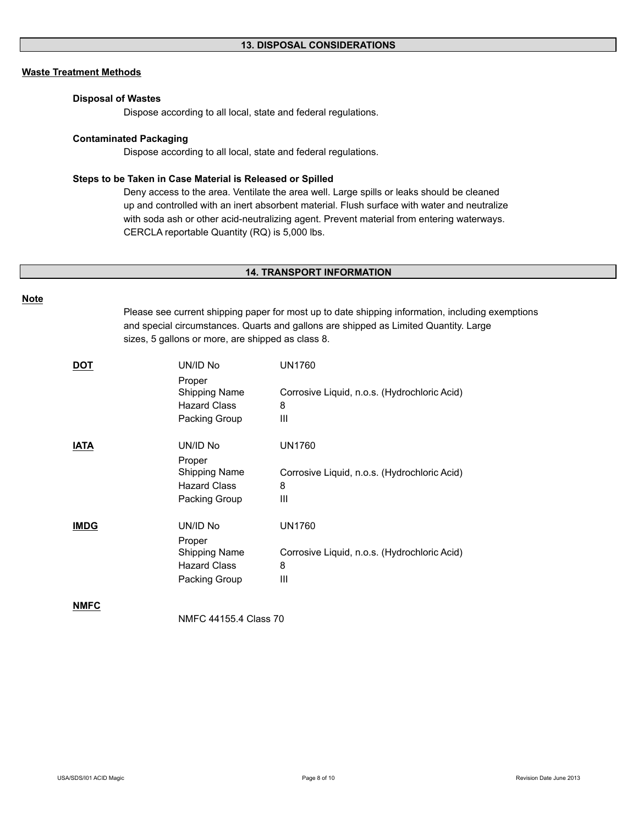# **Waste Treatment Methods**

#### **Disposal of Wastes**

Dispose according to all local, state and federal regulations.

#### **Contaminated Packaging**

Dispose according to all local, state and federal regulations.

#### **Steps to be Taken in Case Material is Released or Spilled**

Deny access to the area. Ventilate the area well. Large spills or leaks should be cleaned CERCLA reportable Quantity (RQ) is 5,000 lbs. up and controlled with an inert absorbent material. Flush surface with water and neutralize with soda ash or other acid-neutralizing agent. Prevent material from entering waterways.

#### **14. TRANSPORT INFORMATION**

#### **Note**

Please see current shipping paper for most up to date shipping information, including exemptions and special circumstances. Quarts and gallons are shipped as Limited Quantity. Large sizes, 5 gallons or more, are shipped as class 8.

| <u>DOT</u>  | UN/ID No              | <b>UN1760</b>                                |  |
|-------------|-----------------------|----------------------------------------------|--|
|             | Proper                |                                              |  |
|             | <b>Shipping Name</b>  | Corrosive Liquid, n.o.s. (Hydrochloric Acid) |  |
|             | <b>Hazard Class</b>   | 8                                            |  |
|             | Packing Group         | Ш                                            |  |
| <u>IATA</u> | UN/ID No              | <b>UN1760</b>                                |  |
|             | Proper                |                                              |  |
|             | Shipping Name         | Corrosive Liquid, n.o.s. (Hydrochloric Acid) |  |
|             | <b>Hazard Class</b>   | 8                                            |  |
|             | Packing Group         | Ш                                            |  |
| <b>IMDG</b> | UN/ID No              | <b>UN1760</b>                                |  |
|             | Proper                |                                              |  |
|             | Shipping Name         | Corrosive Liquid, n.o.s. (Hydrochloric Acid) |  |
|             | <b>Hazard Class</b>   | 8                                            |  |
|             | Packing Group         | Ш                                            |  |
| <b>NMFC</b> |                       |                                              |  |
|             | NMFC 44155.4 Class 70 |                                              |  |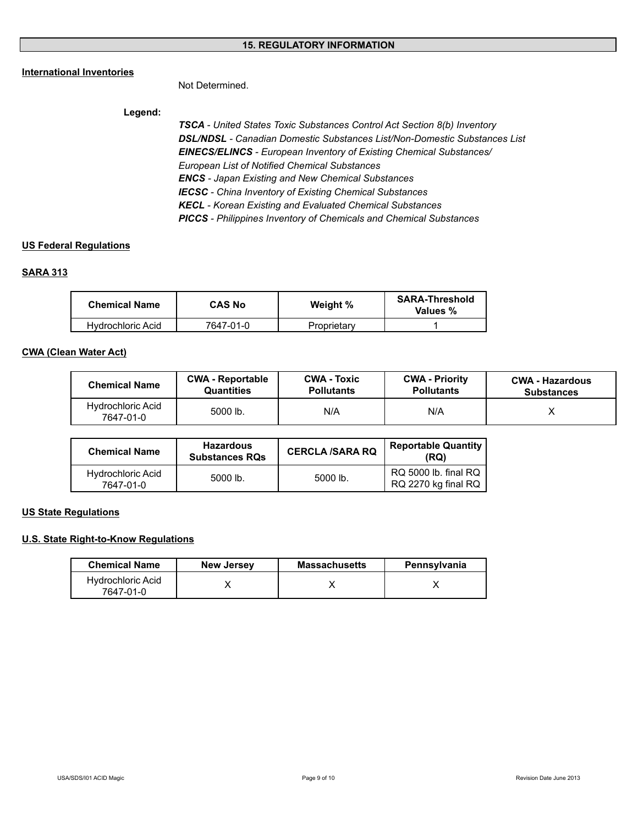# **15. REGULATORY INFORMATION**

# **International Inventories**

Not Determined.

# **Legend:**

*TSCA - United States Toxic Substances Control Act Section 8(b) Inventory DSL/NDSL - Canadian Domestic Substances List/Non-Domestic Substances List ENCS - Japan Existing and New Chemical Substances IECSC - China Inventory of Existing Chemical Substances KECL - Korean Existing and Evaluated Chemical Substances PICCS - Philippines Inventory of Chemicals and Chemical Substances EINECS/ELINCS - European Inventory of Existing Chemical Substances/ European List of Notified Chemical Substances*

# **US Federal Regulations**

# **SARA 313**

| <b>Chemical Name</b> | <b>CAS No</b> | Weight %    | <b>SARA-Threshold</b><br>Values % |
|----------------------|---------------|-------------|-----------------------------------|
| Hvdrochloric Acid    | 7647-01-0     | Proprietary |                                   |

# **CWA (Clean Water Act)**

| <b>Chemical Name</b>                  | <b>CWA - Reportable</b> | <b>CWA - Toxic</b> | <b>CWA - Priority</b> | <b>CWA - Hazardous</b> |
|---------------------------------------|-------------------------|--------------------|-----------------------|------------------------|
|                                       | Quantities              | <b>Pollutants</b>  | <b>Pollutants</b>     | <b>Substances</b>      |
| <b>Hydrochloric Acid</b><br>7647-01-0 | 5000 lb.                | N/A                | N/A                   |                        |

| <b>Chemical Name</b>                  | <b>Hazardous</b><br><b>Substances RQs</b> | <b>CERCLA /SARA RQ</b> | <b>Reportable Quantity</b><br>(RQ)          |
|---------------------------------------|-------------------------------------------|------------------------|---------------------------------------------|
| <b>Hydrochloric Acid</b><br>7647-01-0 | $5000$ lb.                                | 5000 lb.               | RQ 5000 lb. final RQ<br>RQ 2270 kg final RQ |

# **US State Regulations**

# **U.S. State Right-to-Know Regulations**

| <b>Chemical Name</b>           | <b>New Jersey</b> | <b>Massachusetts</b> | Pennsylvania |
|--------------------------------|-------------------|----------------------|--------------|
| Hydrochloric Acid<br>7647-01-0 |                   |                      |              |